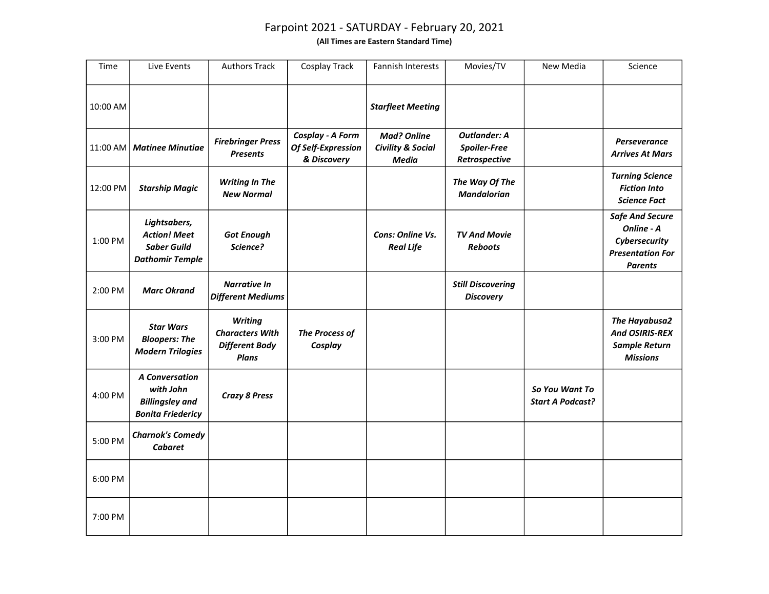## Farpoint 2021 - SATURDAY - February 20, 2021

(All Times are Eastern Standard Time)

| Time     | Live Events                                                                              | <b>Authors Track</b>                                                       | Cosplay Track                                         | <b>Fannish Interests</b>                                           | Movies/TV                                                   | New Media                                 | Science                                                                                            |
|----------|------------------------------------------------------------------------------------------|----------------------------------------------------------------------------|-------------------------------------------------------|--------------------------------------------------------------------|-------------------------------------------------------------|-------------------------------------------|----------------------------------------------------------------------------------------------------|
| 10:00 AM |                                                                                          |                                                                            |                                                       | <b>Starfleet Meeting</b>                                           |                                                             |                                           |                                                                                                    |
|          | 11:00 AM   Matinee Minutiae                                                              | <b>Firebringer Press</b><br><b>Presents</b>                                | Cosplay - A Form<br>Of Self-Expression<br>& Discovery | <b>Mad? Online</b><br><b>Civility &amp; Social</b><br><b>Media</b> | <b>Outlander: A</b><br><b>Spoiler-Free</b><br>Retrospective |                                           | <b>Perseverance</b><br><b>Arrives At Mars</b>                                                      |
| 12:00 PM | <b>Starship Magic</b>                                                                    | <b>Writing In The</b><br><b>New Normal</b>                                 |                                                       |                                                                    | The Way Of The<br><b>Mandalorian</b>                        |                                           | <b>Turning Science</b><br><b>Fiction Into</b><br><b>Science Fact</b>                               |
| 1:00 PM  | Lightsabers,<br><b>Action! Meet</b><br><b>Saber Guild</b><br><b>Dathomir Temple</b>      | <b>Got Enough</b><br>Science?                                              |                                                       | Cons: Online Vs.<br><b>Real Life</b>                               | <b>TV And Movie</b><br><b>Reboots</b>                       |                                           | <b>Safe And Secure</b><br>Online - A<br>Cybersecurity<br><b>Presentation For</b><br><b>Parents</b> |
| 2:00 PM  | <b>Marc Okrand</b>                                                                       | <b>Narrative In</b><br><b>Different Mediums</b>                            |                                                       |                                                                    | <b>Still Discovering</b><br><b>Discovery</b>                |                                           |                                                                                                    |
| 3:00 PM  | <b>Star Wars</b><br><b>Bloopers: The</b><br><b>Modern Trilogies</b>                      | <b>Writing</b><br><b>Characters With</b><br><b>Different Body</b><br>Plans | <b>The Process of</b><br>Cosplay                      |                                                                    |                                                             |                                           | <b>The Hayabusa2</b><br>And OSIRIS-REX<br><b>Sample Return</b><br><b>Missions</b>                  |
| 4:00 PM  | <b>A Conversation</b><br>with John<br><b>Billingsley and</b><br><b>Bonita Friedericy</b> | <b>Crazy 8 Press</b>                                                       |                                                       |                                                                    |                                                             | So You Want To<br><b>Start A Podcast?</b> |                                                                                                    |
| 5:00 PM  | <b>Charnok's Comedy</b><br><b>Cabaret</b>                                                |                                                                            |                                                       |                                                                    |                                                             |                                           |                                                                                                    |
| 6:00 PM  |                                                                                          |                                                                            |                                                       |                                                                    |                                                             |                                           |                                                                                                    |
| 7:00 PM  |                                                                                          |                                                                            |                                                       |                                                                    |                                                             |                                           |                                                                                                    |